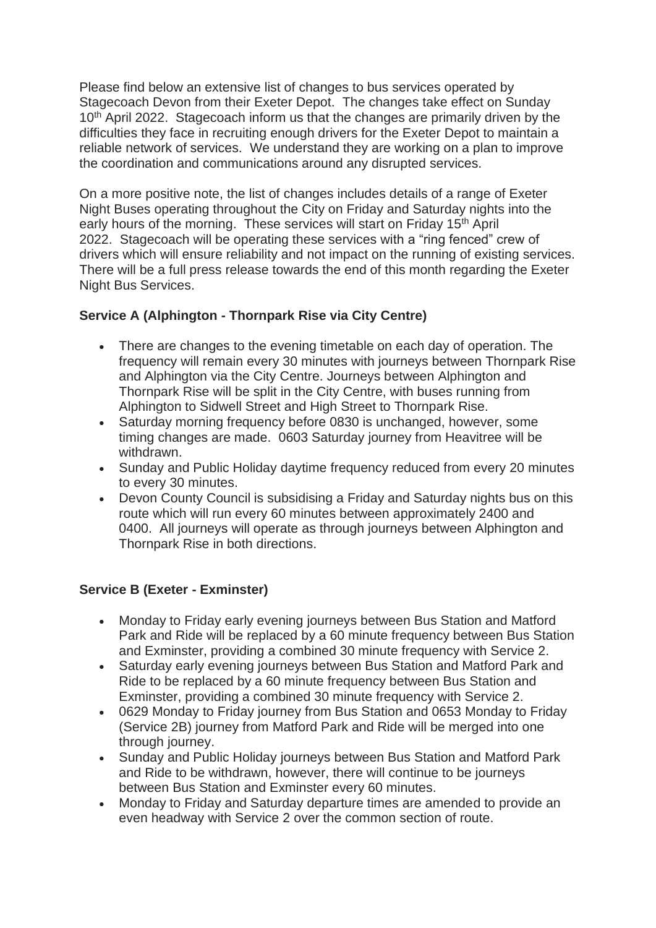Please find below an extensive list of changes to bus services operated by Stagecoach Devon from their Exeter Depot. The changes take effect on Sunday 10<sup>th</sup> April 2022. Stagecoach inform us that the changes are primarily driven by the difficulties they face in recruiting enough drivers for the Exeter Depot to maintain a reliable network of services. We understand they are working on a plan to improve the coordination and communications around any disrupted services.

On a more positive note, the list of changes includes details of a range of Exeter Night Buses operating throughout the City on Friday and Saturday nights into the early hours of the morning. These services will start on Friday 15<sup>th</sup> April 2022. Stagecoach will be operating these services with a "ring fenced" crew of drivers which will ensure reliability and not impact on the running of existing services. There will be a full press release towards the end of this month regarding the Exeter Night Bus Services.

## **Service A (Alphington - Thornpark Rise via City Centre)**

- There are changes to the evening timetable on each day of operation. The frequency will remain every 30 minutes with journeys between Thornpark Rise and Alphington via the City Centre. Journeys between Alphington and Thornpark Rise will be split in the City Centre, with buses running from Alphington to Sidwell Street and High Street to Thornpark Rise.
- Saturday morning frequency before 0830 is unchanged, however, some timing changes are made. 0603 Saturday journey from Heavitree will be withdrawn.
- Sunday and Public Holiday daytime frequency reduced from every 20 minutes to every 30 minutes.
- Devon County Council is subsidising a Friday and Saturday nights bus on this route which will run every 60 minutes between approximately 2400 and 0400. All journeys will operate as through journeys between Alphington and Thornpark Rise in both directions.

### **Service B (Exeter - Exminster)**

- Monday to Friday early evening journeys between Bus Station and Matford Park and Ride will be replaced by a 60 minute frequency between Bus Station and Exminster, providing a combined 30 minute frequency with Service 2.
- Saturday early evening journeys between Bus Station and Matford Park and Ride to be replaced by a 60 minute frequency between Bus Station and Exminster, providing a combined 30 minute frequency with Service 2.
- 0629 Monday to Friday journey from Bus Station and 0653 Monday to Friday (Service 2B) journey from Matford Park and Ride will be merged into one through journey.
- Sunday and Public Holiday journeys between Bus Station and Matford Park and Ride to be withdrawn, however, there will continue to be journeys between Bus Station and Exminster every 60 minutes.
- Monday to Friday and Saturday departure times are amended to provide an even headway with Service 2 over the common section of route.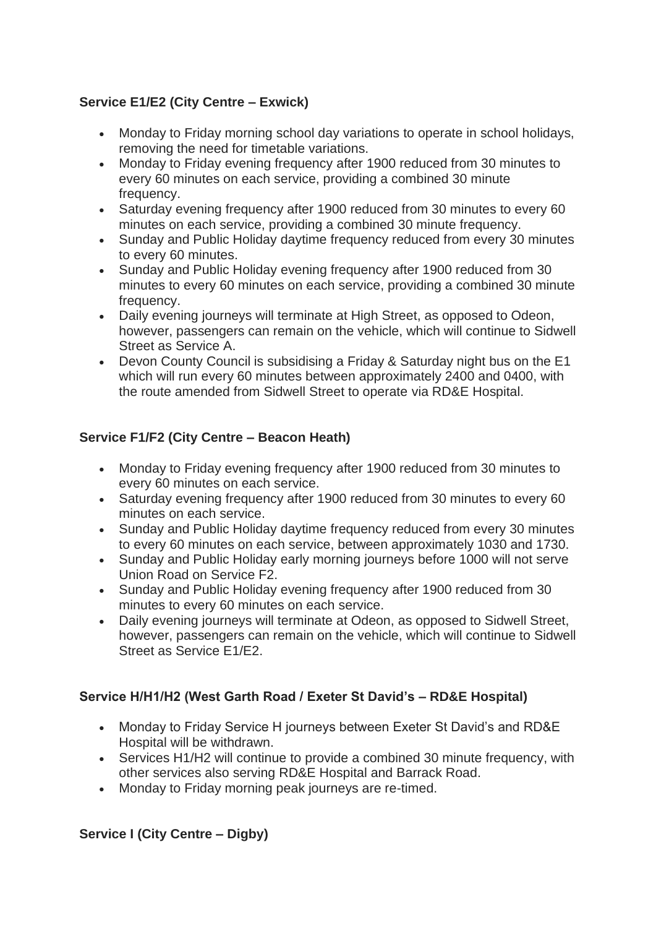# **Service E1/E2 (City Centre – Exwick)**

- Monday to Friday morning school day variations to operate in school holidays, removing the need for timetable variations.
- Monday to Friday evening frequency after 1900 reduced from 30 minutes to every 60 minutes on each service, providing a combined 30 minute frequency.
- Saturday evening frequency after 1900 reduced from 30 minutes to every 60 minutes on each service, providing a combined 30 minute frequency.
- Sunday and Public Holiday daytime frequency reduced from every 30 minutes to every 60 minutes.
- Sunday and Public Holiday evening frequency after 1900 reduced from 30 minutes to every 60 minutes on each service, providing a combined 30 minute frequency.
- Daily evening journeys will terminate at High Street, as opposed to Odeon, however, passengers can remain on the vehicle, which will continue to Sidwell Street as Service A.
- Devon County Council is subsidising a Friday & Saturday night bus on the E1 which will run every 60 minutes between approximately 2400 and 0400, with the route amended from Sidwell Street to operate via RD&E Hospital.

## **Service F1/F2 (City Centre – Beacon Heath)**

- Monday to Friday evening frequency after 1900 reduced from 30 minutes to every 60 minutes on each service.
- Saturday evening frequency after 1900 reduced from 30 minutes to every 60 minutes on each service.
- Sunday and Public Holiday daytime frequency reduced from every 30 minutes to every 60 minutes on each service, between approximately 1030 and 1730.
- Sunday and Public Holiday early morning journeys before 1000 will not serve Union Road on Service F2.
- Sunday and Public Holiday evening frequency after 1900 reduced from 30 minutes to every 60 minutes on each service.
- Daily evening journeys will terminate at Odeon, as opposed to Sidwell Street, however, passengers can remain on the vehicle, which will continue to Sidwell Street as Service E1/E2.

### **Service H/H1/H2 (West Garth Road / Exeter St David's – RD&E Hospital)**

- Monday to Friday Service H journeys between Exeter St David's and RD&E Hospital will be withdrawn.
- Services H1/H2 will continue to provide a combined 30 minute frequency, with other services also serving RD&E Hospital and Barrack Road.
- Monday to Friday morning peak journeys are re-timed.

# **Service I (City Centre – Digby)**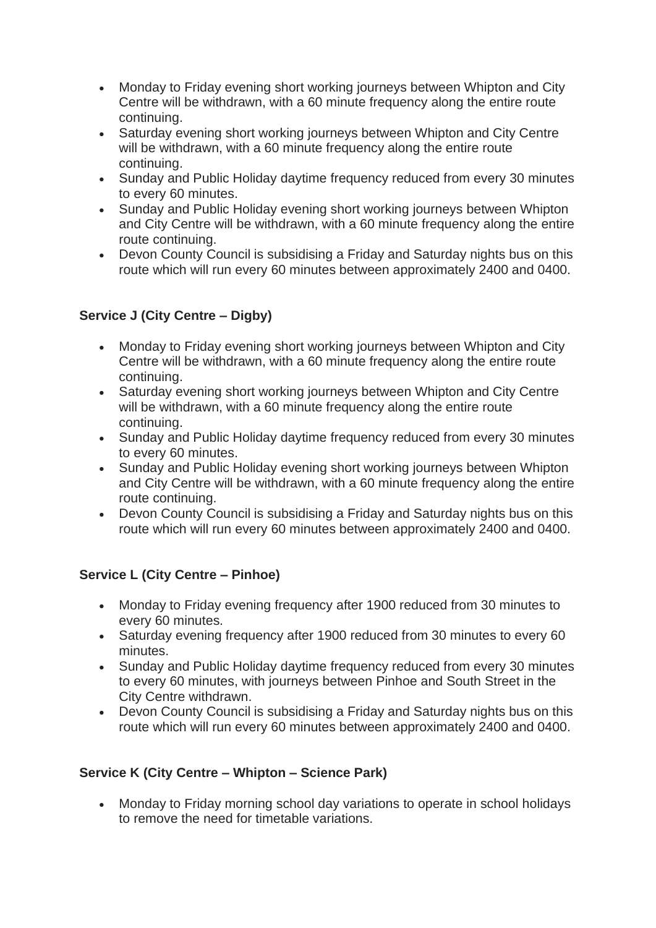- Monday to Friday evening short working journeys between Whipton and City Centre will be withdrawn, with a 60 minute frequency along the entire route continuing.
- Saturday evening short working journeys between Whipton and City Centre will be withdrawn, with a 60 minute frequency along the entire route continuing.
- Sunday and Public Holiday daytime frequency reduced from every 30 minutes to every 60 minutes.
- Sunday and Public Holiday evening short working journeys between Whipton and City Centre will be withdrawn, with a 60 minute frequency along the entire route continuing.
- Devon County Council is subsidising a Friday and Saturday nights bus on this route which will run every 60 minutes between approximately 2400 and 0400.

# **Service J (City Centre – Digby)**

- Monday to Friday evening short working journeys between Whipton and City Centre will be withdrawn, with a 60 minute frequency along the entire route continuing.
- Saturday evening short working journeys between Whipton and City Centre will be withdrawn, with a 60 minute frequency along the entire route continuing.
- Sunday and Public Holiday daytime frequency reduced from every 30 minutes to every 60 minutes.
- Sunday and Public Holiday evening short working journeys between Whipton and City Centre will be withdrawn, with a 60 minute frequency along the entire route continuing.
- Devon County Council is subsidising a Friday and Saturday nights bus on this route which will run every 60 minutes between approximately 2400 and 0400.

### **Service L (City Centre – Pinhoe)**

- Monday to Friday evening frequency after 1900 reduced from 30 minutes to every 60 minutes.
- Saturday evening frequency after 1900 reduced from 30 minutes to every 60 minutes.
- Sunday and Public Holiday daytime frequency reduced from every 30 minutes to every 60 minutes, with journeys between Pinhoe and South Street in the City Centre withdrawn.
- Devon County Council is subsidising a Friday and Saturday nights bus on this route which will run every 60 minutes between approximately 2400 and 0400.

### **Service K (City Centre – Whipton – Science Park)**

• Monday to Friday morning school day variations to operate in school holidays to remove the need for timetable variations.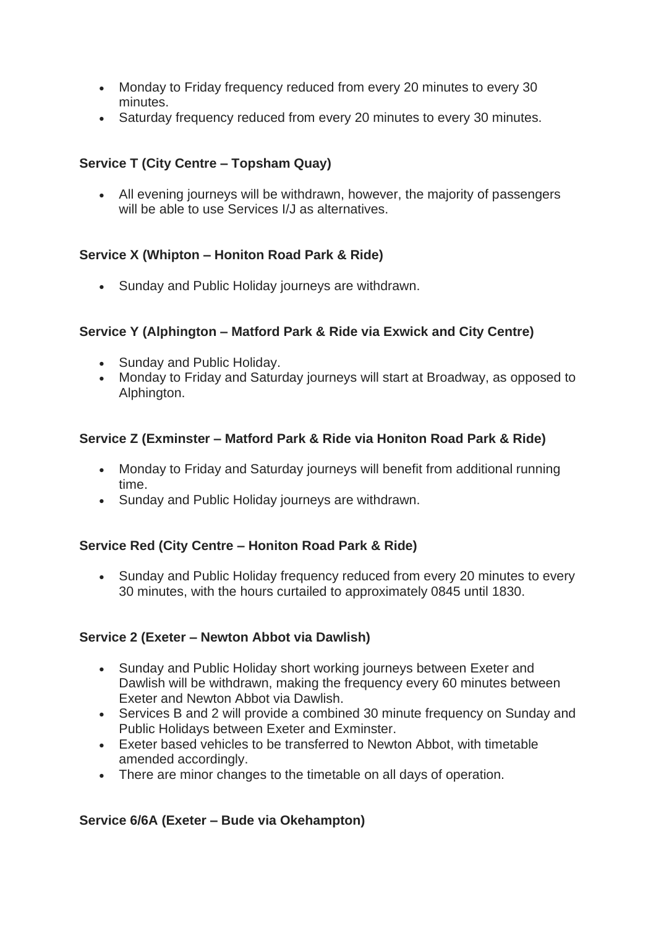- Monday to Friday frequency reduced from every 20 minutes to every 30 minutes.
- Saturday frequency reduced from every 20 minutes to every 30 minutes.

### **Service T (City Centre – Topsham Quay)**

• All evening journeys will be withdrawn, however, the majority of passengers will be able to use Services I/J as alternatives.

### **Service X (Whipton – Honiton Road Park & Ride)**

• Sunday and Public Holiday journeys are withdrawn.

### **Service Y (Alphington – Matford Park & Ride via Exwick and City Centre)**

- Sunday and Public Holiday.
- Monday to Friday and Saturday journeys will start at Broadway, as opposed to Alphington.

### **Service Z (Exminster – Matford Park & Ride via Honiton Road Park & Ride)**

- Monday to Friday and Saturday journeys will benefit from additional running time.
- Sunday and Public Holiday journeys are withdrawn.

### **Service Red (City Centre – Honiton Road Park & Ride)**

• Sunday and Public Holiday frequency reduced from every 20 minutes to every 30 minutes, with the hours curtailed to approximately 0845 until 1830.

### **Service 2 (Exeter – Newton Abbot via Dawlish)**

- Sunday and Public Holiday short working journeys between Exeter and Dawlish will be withdrawn, making the frequency every 60 minutes between Exeter and Newton Abbot via Dawlish.
- Services B and 2 will provide a combined 30 minute frequency on Sunday and Public Holidays between Exeter and Exminster.
- Exeter based vehicles to be transferred to Newton Abbot, with timetable amended accordingly.
- There are minor changes to the timetable on all days of operation.

### **Service 6/6A (Exeter – Bude via Okehampton)**